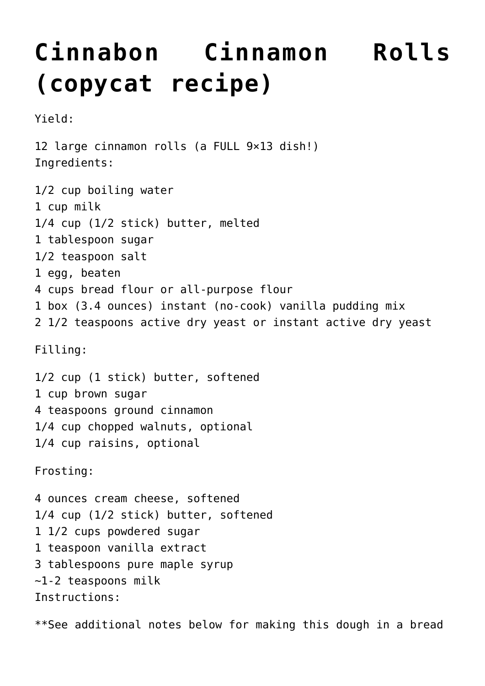## **[Cinnabon Cinnamon Rolls](https://lincon.com/site/cinnabon-cinnamon-rolls-copycat-recipe/) [\(copycat recipe\)](https://lincon.com/site/cinnabon-cinnamon-rolls-copycat-recipe/)**

Yield:

12 large cinnamon rolls (a FULL 9×13 dish!) Ingredients: 1/2 cup boiling water 1 cup milk 1/4 cup (1/2 stick) butter, melted 1 tablespoon sugar 1/2 teaspoon salt 1 egg, beaten 4 cups bread flour or all-purpose flour 1 box (3.4 ounces) instant (no-cook) vanilla pudding mix 2 1/2 teaspoons active dry yeast or instant active dry yeast Filling: 1/2 cup (1 stick) butter, softened 1 cup brown sugar 4 teaspoons ground cinnamon 1/4 cup chopped walnuts, optional 1/4 cup raisins, optional Frosting: 4 ounces cream cheese, softened 1/4 cup (1/2 stick) butter, softened 1 1/2 cups powdered sugar 1 teaspoon vanilla extract 3 tablespoons pure maple syrup  $\sim$ 1-2 teaspoons milk Instructions:

\*\*See additional notes below for making this dough in a bread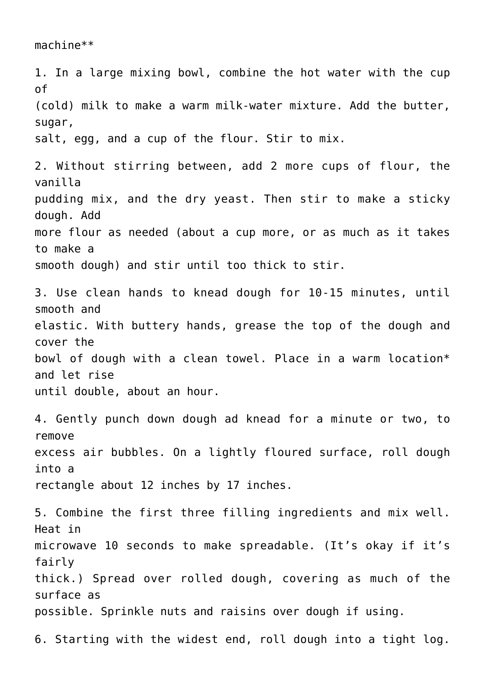1. In a large mixing bowl, combine the hot water with the cup of (cold) milk to make a warm milk-water mixture. Add the butter, sugar, salt, egg, and a cup of the flour. Stir to mix. 2. Without stirring between, add 2 more cups of flour, the vanilla pudding mix, and the dry yeast. Then stir to make a sticky dough. Add more flour as needed (about a cup more, or as much as it takes to make a smooth dough) and stir until too thick to stir. 3. Use clean hands to knead dough for 10-15 minutes, until smooth and elastic. With buttery hands, grease the top of the dough and cover the bowl of dough with a clean towel. Place in a warm location\* and let rise until double, about an hour. 4. Gently punch down dough ad knead for a minute or two, to remove excess air bubbles. On a lightly floured surface, roll dough into a rectangle about 12 inches by 17 inches. 5. Combine the first three filling ingredients and mix well. Heat in microwave 10 seconds to make spreadable. (It's okay if it's fairly thick.) Spread over rolled dough, covering as much of the surface as possible. Sprinkle nuts and raisins over dough if using. 6. Starting with the widest end, roll dough into a tight log.

machine\*\*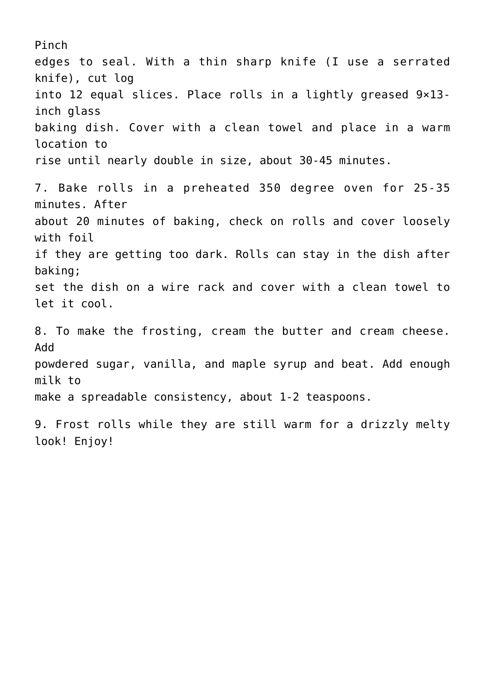Pinch edges to seal. With a thin sharp knife (I use a serrated knife), cut log into 12 equal slices. Place rolls in a lightly greased 9×13 inch glass baking dish. Cover with a clean towel and place in a warm location to rise until nearly double in size, about 30-45 minutes. 7. Bake rolls in a preheated 350 degree oven for 25-35 minutes. After about 20 minutes of baking, check on rolls and cover loosely with foil if they are getting too dark. Rolls can stay in the dish after baking; set the dish on a wire rack and cover with a clean towel to let it cool. 8. To make the frosting, cream the butter and cream cheese. Add powdered sugar, vanilla, and maple syrup and beat. Add enough milk to make a spreadable consistency, about 1-2 teaspoons. 9. Frost rolls while they are still warm for a drizzly melty look! Enjoy!